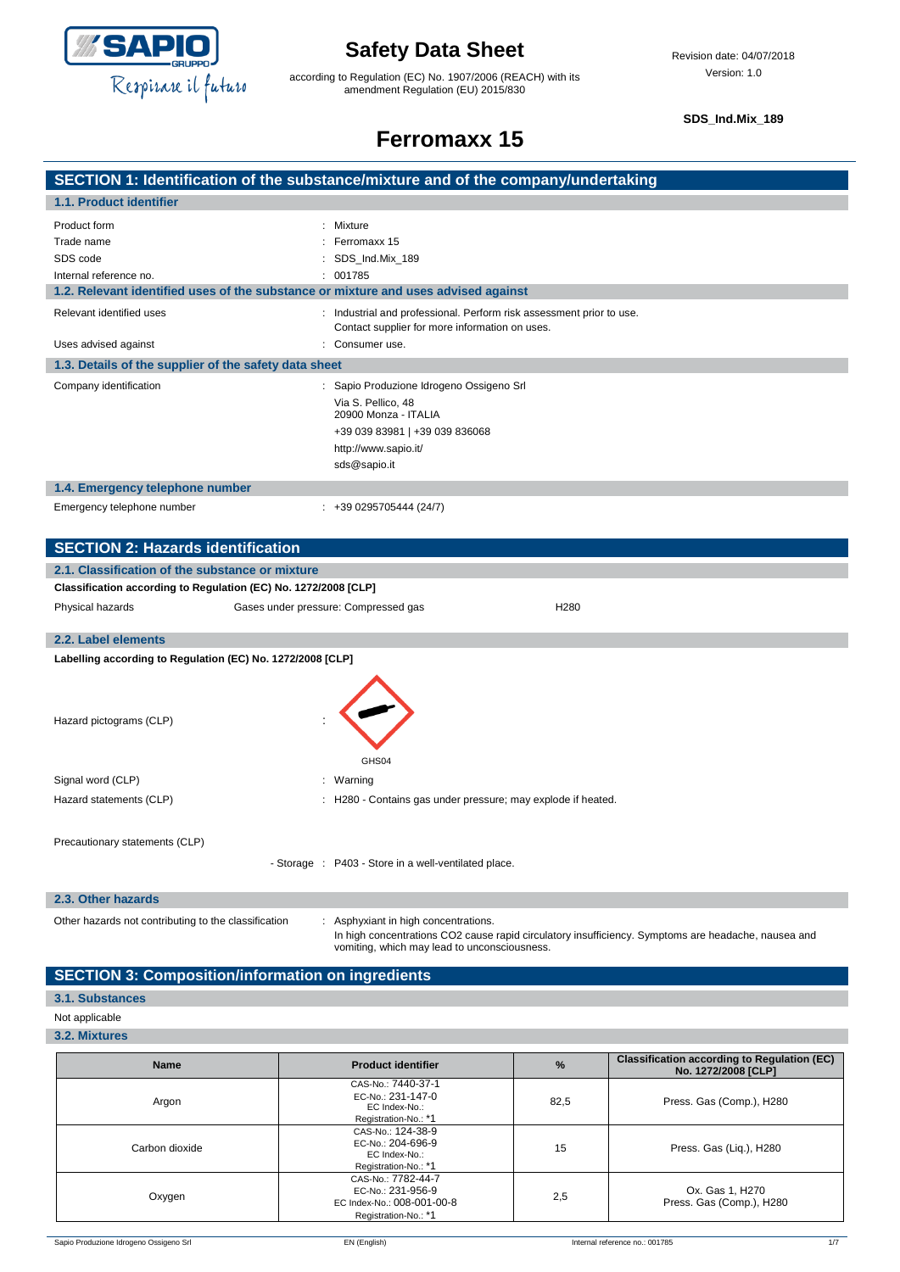

according to Regulation (EC) No. 1907/2006 (REACH) with its amendment Regulation (EU) 2015/830

**SDS\_Ind.Mix\_189**

### **Ferromaxx 15**

|                          | SECTION 1: Identification of the substance/mixture and of the company/undertaking                                    |  |
|--------------------------|----------------------------------------------------------------------------------------------------------------------|--|
| 1.1. Product identifier  |                                                                                                                      |  |
| Product form             | Mixture                                                                                                              |  |
| Trade name               | Ferromaxx 15                                                                                                         |  |
| SDS code                 | SDS Ind.Mix 189                                                                                                      |  |
| Internal reference no.   | 001785                                                                                                               |  |
|                          | 1.2. Relevant identified uses of the substance or mixture and uses advised against                                   |  |
| Relevant identified uses | Industrial and professional. Perform risk assessment prior to use.<br>Contact supplier for more information on uses. |  |
| teniene haeivhe eael l   | Consumeruse                                                                                                          |  |

| Uses advised against                                  | $\therefore$ Consumer use.                                                                                                                                       |  |
|-------------------------------------------------------|------------------------------------------------------------------------------------------------------------------------------------------------------------------|--|
| 1.3. Details of the supplier of the safety data sheet |                                                                                                                                                                  |  |
| Company identification                                | : Sapio Produzione Idrogeno Ossigeno Srl<br>Via S. Pellico, 48<br>20900 Monza - ITALIA<br>+39 039 83981   +39 039 836068<br>http://www.sapio.it/<br>sds@sapio.it |  |
| 1.4. Emergency telephone number                       |                                                                                                                                                                  |  |
| Emergency telephone number                            | $: +390295705444(24/7)$                                                                                                                                          |  |

| <b>SECTION 2: Hazards identification</b>                        |                                                      |                                                              |  |
|-----------------------------------------------------------------|------------------------------------------------------|--------------------------------------------------------------|--|
| 2.1. Classification of the substance or mixture                 |                                                      |                                                              |  |
| Classification according to Regulation (EC) No. 1272/2008 [CLP] |                                                      |                                                              |  |
| Physical hazards                                                | Gases under pressure: Compressed gas                 | H <sub>280</sub>                                             |  |
| 2.2. Label elements                                             |                                                      |                                                              |  |
|                                                                 |                                                      |                                                              |  |
| Labelling according to Regulation (EC) No. 1272/2008 [CLP]      |                                                      |                                                              |  |
| Hazard pictograms (CLP)                                         | GHS04                                                |                                                              |  |
| Signal word (CLP)                                               | : Warning                                            |                                                              |  |
| Hazard statements (CLP)                                         |                                                      | : H280 - Contains gas under pressure; may explode if heated. |  |
| Precautionary statements (CLP)                                  | - Storage : P403 - Store in a well-ventilated place. |                                                              |  |

#### **2.3. Other hazards**

Other hazards not contributing to the classification : Asphyxiant in high concentrations.

In high concentrations CO2 cause rapid circulatory insufficiency. Symptoms are headache, nausea and vomiting, which may lead to unconsciousness.

### **SECTION 3: Composition/information on ingredients**

#### **3.1. Substances**

#### Not applicable

**3.2. Mixtures**

| <b>Name</b>    | <b>Product identifier</b>                                                                     | $\frac{9}{6}$ | <b>Classification according to Regulation (EC)</b><br>No. 1272/2008 [CLP] |
|----------------|-----------------------------------------------------------------------------------------------|---------------|---------------------------------------------------------------------------|
| Argon          | CAS-No.: 7440-37-1<br>EC-No.: 231-147-0<br>EC Index-No.:<br>Registration-No.: *1              | 82,5          | Press. Gas (Comp.), H280                                                  |
| Carbon dioxide | CAS-No.: 124-38-9<br>EC-No.: 204-696-9<br>EC Index-No.:<br>Registration-No.: *1               | 15            | Press. Gas (Liq.), H280                                                   |
| Oxygen         | CAS-No.: 7782-44-7<br>EC-No.: 231-956-9<br>EC Index-No.: 008-001-00-8<br>Registration-No.: *1 | 2,5           | Ox. Gas 1, H270<br>Press. Gas (Comp.), H280                               |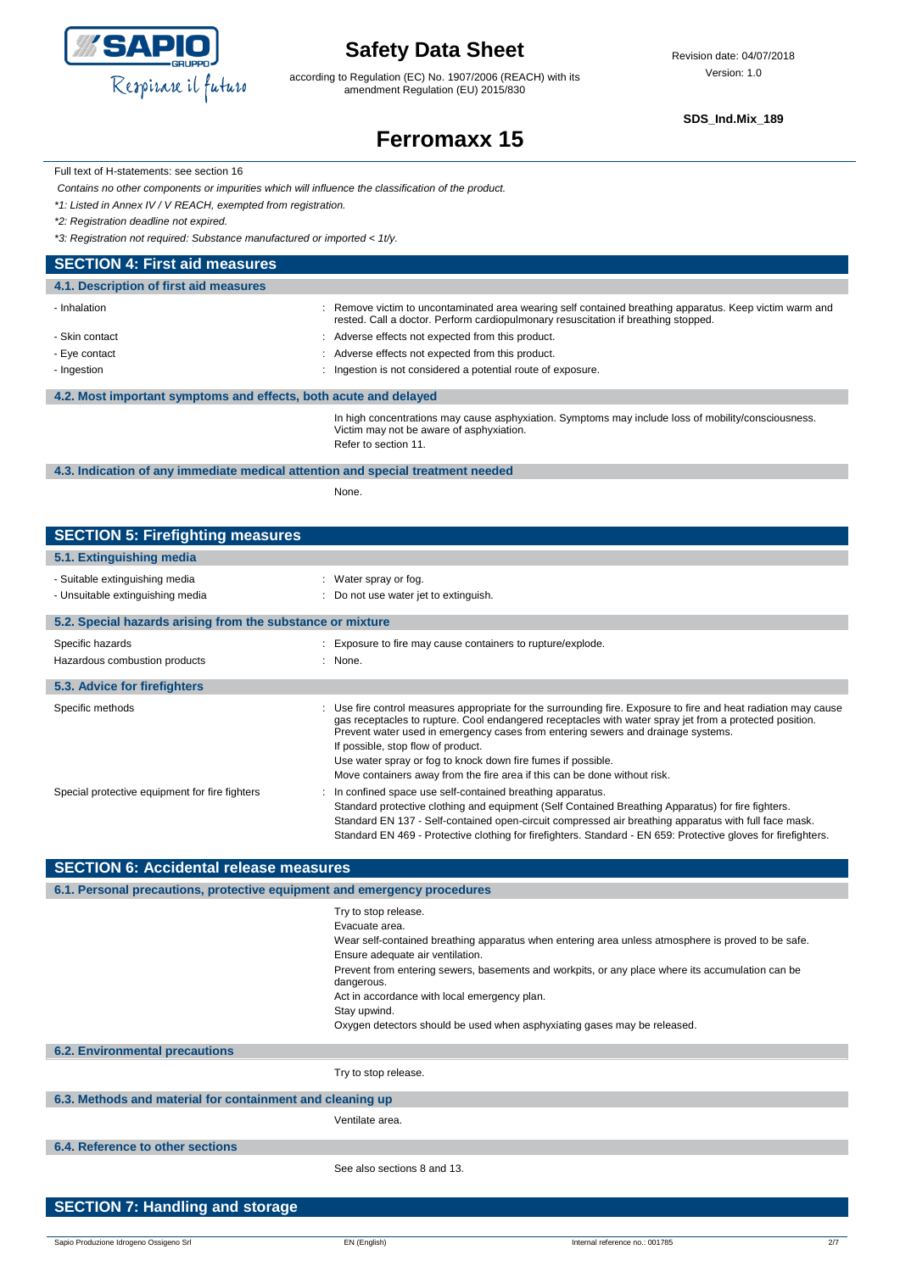

according to Regulation (EC) No. 1907/2006 (REACH) with its amendment Regulation (EU) 2015/830

**SDS\_Ind.Mix\_189**

# **Ferromaxx 15**

Full text of H-statements: see section 16

*Contains no other components or impurities which will influence the classification of the product.*

*\*1: Listed in Annex IV / V REACH, exempted from registration.*

*\*2: Registration deadline not expired.*

*\*3: Registration not required: Substance manufactured or imported < 1t/y.*

#### **SECTION 4: First aid measures**

| 4.1. Description of first aid measures                           |                                                                                                                                                                                               |
|------------------------------------------------------------------|-----------------------------------------------------------------------------------------------------------------------------------------------------------------------------------------------|
| - Inhalation                                                     | : Remove victim to uncontaminated area wearing self contained breathing apparatus. Keep victim warm and<br>rested. Call a doctor. Perform cardiopulmonary resuscitation if breathing stopped. |
| - Skin contact                                                   | : Adverse effects not expected from this product.                                                                                                                                             |
| - Eye contact                                                    | : Adverse effects not expected from this product.                                                                                                                                             |
| - Ingestion                                                      | : Ingestion is not considered a potential route of exposure.                                                                                                                                  |
|                                                                  |                                                                                                                                                                                               |
| 4.2. Most important symptoms and effects, both acute and delayed |                                                                                                                                                                                               |
|                                                                  | In high concentrations may cause asphyxiation. Symptoms may include loss of mobility/consciousness.<br>Victim may not be aware of asphyxiation.<br>Refer to section 11.                       |

#### **4.3. Indication of any immediate medical attention and special treatment needed**

None.

### **SECTION 5: Firefighting measures**

| 5.1. Extinguishing media                                           |                                                                                                                                                                                                                                                                                                                                                                                                                                                                                                   |
|--------------------------------------------------------------------|---------------------------------------------------------------------------------------------------------------------------------------------------------------------------------------------------------------------------------------------------------------------------------------------------------------------------------------------------------------------------------------------------------------------------------------------------------------------------------------------------|
| - Suitable extinguishing media<br>- Unsuitable extinguishing media | : Water spray or fog.<br>: Do not use water jet to extinguish.                                                                                                                                                                                                                                                                                                                                                                                                                                    |
| 5.2. Special hazards arising from the substance or mixture         |                                                                                                                                                                                                                                                                                                                                                                                                                                                                                                   |
| Specific hazards<br>Hazardous combustion products                  | : Exposure to fire may cause containers to rupture/explode.<br>: None.                                                                                                                                                                                                                                                                                                                                                                                                                            |
| 5.3. Advice for firefighters                                       |                                                                                                                                                                                                                                                                                                                                                                                                                                                                                                   |
| Specific methods                                                   | : Use fire control measures appropriate for the surrounding fire. Exposure to fire and heat radiation may cause<br>gas receptacles to rupture. Cool endangered receptacles with water spray jet from a protected position.<br>Prevent water used in emergency cases from entering sewers and drainage systems.<br>If possible, stop flow of product.<br>Use water spray or fog to knock down fire fumes if possible.<br>Move containers away from the fire area if this can be done without risk. |
| Special protective equipment for fire fighters                     | In confined space use self-contained breathing apparatus.<br>Standard protective clothing and equipment (Self Contained Breathing Apparatus) for fire fighters.<br>Standard EN 137 - Self-contained open-circuit compressed air breathing apparatus with full face mask.<br>Standard EN 469 - Protective clothing for firefighters. Standard - EN 659: Protective gloves for firefighters.                                                                                                        |

| <b>SECTION 6: Accidental release measures</b>                            |                                                                                                                |  |
|--------------------------------------------------------------------------|----------------------------------------------------------------------------------------------------------------|--|
| 6.1. Personal precautions, protective equipment and emergency procedures |                                                                                                                |  |
|                                                                          | Try to stop release.                                                                                           |  |
|                                                                          | Evacuate area.                                                                                                 |  |
|                                                                          | Wear self-contained breathing apparatus when entering area unless atmosphere is proved to be safe.             |  |
|                                                                          | Ensure adequate air ventilation.                                                                               |  |
|                                                                          | Prevent from entering sewers, basements and workpits, or any place where its accumulation can be<br>dangerous. |  |
|                                                                          | Act in accordance with local emergency plan.                                                                   |  |
|                                                                          | Stay upwind.                                                                                                   |  |
|                                                                          | Oxygen detectors should be used when asphyxiating gases may be released.                                       |  |
| <b>6.2. Environmental precautions</b>                                    |                                                                                                                |  |
|                                                                          | Try to stop release.                                                                                           |  |
| 6.3. Methods and material for containment and cleaning up                |                                                                                                                |  |
|                                                                          | Ventilate area.                                                                                                |  |
| 6.4. Reference to other sections                                         |                                                                                                                |  |
|                                                                          | See also sections 8 and 13.                                                                                    |  |
|                                                                          |                                                                                                                |  |
| <b>SECTION 7: Handling and storage</b>                                   |                                                                                                                |  |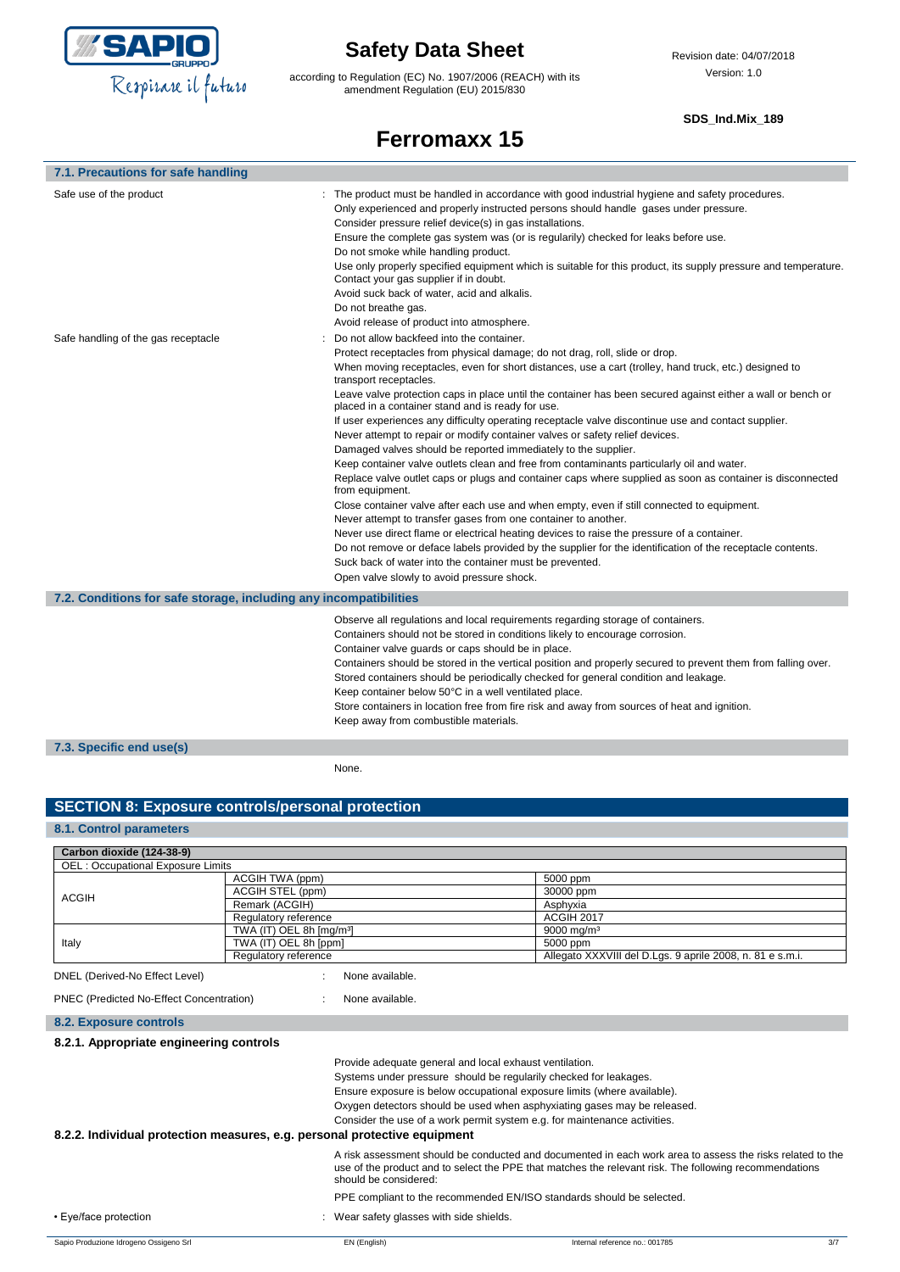

according to Regulation (EC) No. 1907/2006 (REACH) with its amendment Regulation (EU) 2015/830

#### **SDS\_Ind.Mix\_189**

### **Ferromaxx 15**

| 7.1. Precautions for safe handling                                |                                                                                                                                                                                                                                                                                                                                                                                                                                                                                                                                                                                                                                                                                                                                                                                                                                                                                                                                                                                                                                                                                                                                                                                                                                                                                                                                                                                                             |  |
|-------------------------------------------------------------------|-------------------------------------------------------------------------------------------------------------------------------------------------------------------------------------------------------------------------------------------------------------------------------------------------------------------------------------------------------------------------------------------------------------------------------------------------------------------------------------------------------------------------------------------------------------------------------------------------------------------------------------------------------------------------------------------------------------------------------------------------------------------------------------------------------------------------------------------------------------------------------------------------------------------------------------------------------------------------------------------------------------------------------------------------------------------------------------------------------------------------------------------------------------------------------------------------------------------------------------------------------------------------------------------------------------------------------------------------------------------------------------------------------------|--|
| Safe use of the product                                           | : The product must be handled in accordance with good industrial hygiene and safety procedures.<br>Only experienced and properly instructed persons should handle gases under pressure.<br>Consider pressure relief device(s) in gas installations.<br>Ensure the complete gas system was (or is regularily) checked for leaks before use.<br>Do not smoke while handling product.<br>Use only properly specified equipment which is suitable for this product, its supply pressure and temperature.<br>Contact your gas supplier if in doubt.<br>Avoid suck back of water, acid and alkalis.<br>Do not breathe gas.<br>Avoid release of product into atmosphere.                                                                                                                                                                                                                                                                                                                                                                                                                                                                                                                                                                                                                                                                                                                                           |  |
| Safe handling of the gas receptacle                               | Do not allow backfeed into the container.<br>Protect receptacles from physical damage; do not drag, roll, slide or drop.<br>When moving receptacles, even for short distances, use a cart (trolley, hand truck, etc.) designed to<br>transport receptacles.<br>Leave valve protection caps in place until the container has been secured against either a wall or bench or<br>placed in a container stand and is ready for use.<br>If user experiences any difficulty operating receptacle valve discontinue use and contact supplier.<br>Never attempt to repair or modify container valves or safety relief devices.<br>Damaged valves should be reported immediately to the supplier.<br>Keep container valve outlets clean and free from contaminants particularly oil and water.<br>Replace valve outlet caps or plugs and container caps where supplied as soon as container is disconnected<br>from equipment.<br>Close container valve after each use and when empty, even if still connected to equipment.<br>Never attempt to transfer gases from one container to another.<br>Never use direct flame or electrical heating devices to raise the pressure of a container.<br>Do not remove or deface labels provided by the supplier for the identification of the receptacle contents.<br>Suck back of water into the container must be prevented.<br>Open valve slowly to avoid pressure shock. |  |
| 7.2. Conditions for safe storage, including any incompatibilities |                                                                                                                                                                                                                                                                                                                                                                                                                                                                                                                                                                                                                                                                                                                                                                                                                                                                                                                                                                                                                                                                                                                                                                                                                                                                                                                                                                                                             |  |
|                                                                   | Observe all regulations and local requirements regarding storage of containers.<br>Containers should not be stored in conditions likely to encourage corrosion.<br>Container valve guards or caps should be in place.<br>Containers should be stored in the vertical position and properly secured to prevent them from falling over.<br>Stored containers should be periodically checked for general condition and leakage.<br>Keep container below 50°C in a well ventilated place.<br>Store containers in location free from fire risk and away from sources of heat and ignition.<br>Keep away from combustible materials.                                                                                                                                                                                                                                                                                                                                                                                                                                                                                                                                                                                                                                                                                                                                                                              |  |
| 7.3. Specific end use(s)                                          |                                                                                                                                                                                                                                                                                                                                                                                                                                                                                                                                                                                                                                                                                                                                                                                                                                                                                                                                                                                                                                                                                                                                                                                                                                                                                                                                                                                                             |  |
|                                                                   | None.                                                                                                                                                                                                                                                                                                                                                                                                                                                                                                                                                                                                                                                                                                                                                                                                                                                                                                                                                                                                                                                                                                                                                                                                                                                                                                                                                                                                       |  |

#### **SECTION 8: Exposure controls/personal protection**

#### **8.1. Control parameters**

| Carbon dioxide (124-38-9)                |                                                                           |                                                                                                                                                                                                                                                                                                                                                                   |
|------------------------------------------|---------------------------------------------------------------------------|-------------------------------------------------------------------------------------------------------------------------------------------------------------------------------------------------------------------------------------------------------------------------------------------------------------------------------------------------------------------|
| <b>OEL: Occupational Exposure Limits</b> |                                                                           |                                                                                                                                                                                                                                                                                                                                                                   |
|                                          | ACGIH TWA (ppm)                                                           | 5000 ppm                                                                                                                                                                                                                                                                                                                                                          |
| <b>ACGIH</b>                             | ACGIH STEL (ppm)                                                          | 30000 ppm                                                                                                                                                                                                                                                                                                                                                         |
|                                          | Remark (ACGIH)                                                            | Asphyxia                                                                                                                                                                                                                                                                                                                                                          |
|                                          | Regulatory reference                                                      | <b>ACGIH 2017</b>                                                                                                                                                                                                                                                                                                                                                 |
|                                          | TWA (IT) OEL 8h [mg/m <sup>3</sup> ]                                      | $9000 \text{ ma/m}^3$                                                                                                                                                                                                                                                                                                                                             |
| Italy                                    | TWA (IT) OEL 8h [ppm]                                                     | 5000 ppm                                                                                                                                                                                                                                                                                                                                                          |
|                                          | Regulatory reference                                                      | Allegato XXXVIII del D.Lgs. 9 aprile 2008, n. 81 e s.m.i.                                                                                                                                                                                                                                                                                                         |
| DNEL (Derived-No Effect Level)           | None available.                                                           |                                                                                                                                                                                                                                                                                                                                                                   |
| PNEC (Predicted No-Effect Concentration) | None available.                                                           |                                                                                                                                                                                                                                                                                                                                                                   |
| <b>8.2. Exposure controls</b>            |                                                                           |                                                                                                                                                                                                                                                                                                                                                                   |
| 8.2.1. Appropriate engineering controls  |                                                                           |                                                                                                                                                                                                                                                                                                                                                                   |
|                                          | 8.2.2. Individual protection measures, e.g. personal protective equipment | Provide adequate general and local exhaust ventilation.<br>Systems under pressure should be regularily checked for leakages.<br>Ensure exposure is below occupational exposure limits (where available).<br>Oxygen detectors should be used when asphyxiating gases may be released.<br>Consider the use of a work permit system e.g. for maintenance activities. |
|                                          |                                                                           |                                                                                                                                                                                                                                                                                                                                                                   |
|                                          | should be considered:                                                     | A risk assessment should be conducted and documented in each work area to assess the risks related to the<br>use of the product and to select the PPE that matches the relevant risk. The following recommendations                                                                                                                                               |
|                                          |                                                                           | PPE compliant to the recommended EN/ISO standards should be selected.                                                                                                                                                                                                                                                                                             |
| • Eye/face protection                    | : Wear safety glasses with side shields.                                  |                                                                                                                                                                                                                                                                                                                                                                   |
| Sapio Produzione Idrogeno Ossigeno Srl   | EN (English)                                                              | 3/7<br>Internal reference no.: 001785                                                                                                                                                                                                                                                                                                                             |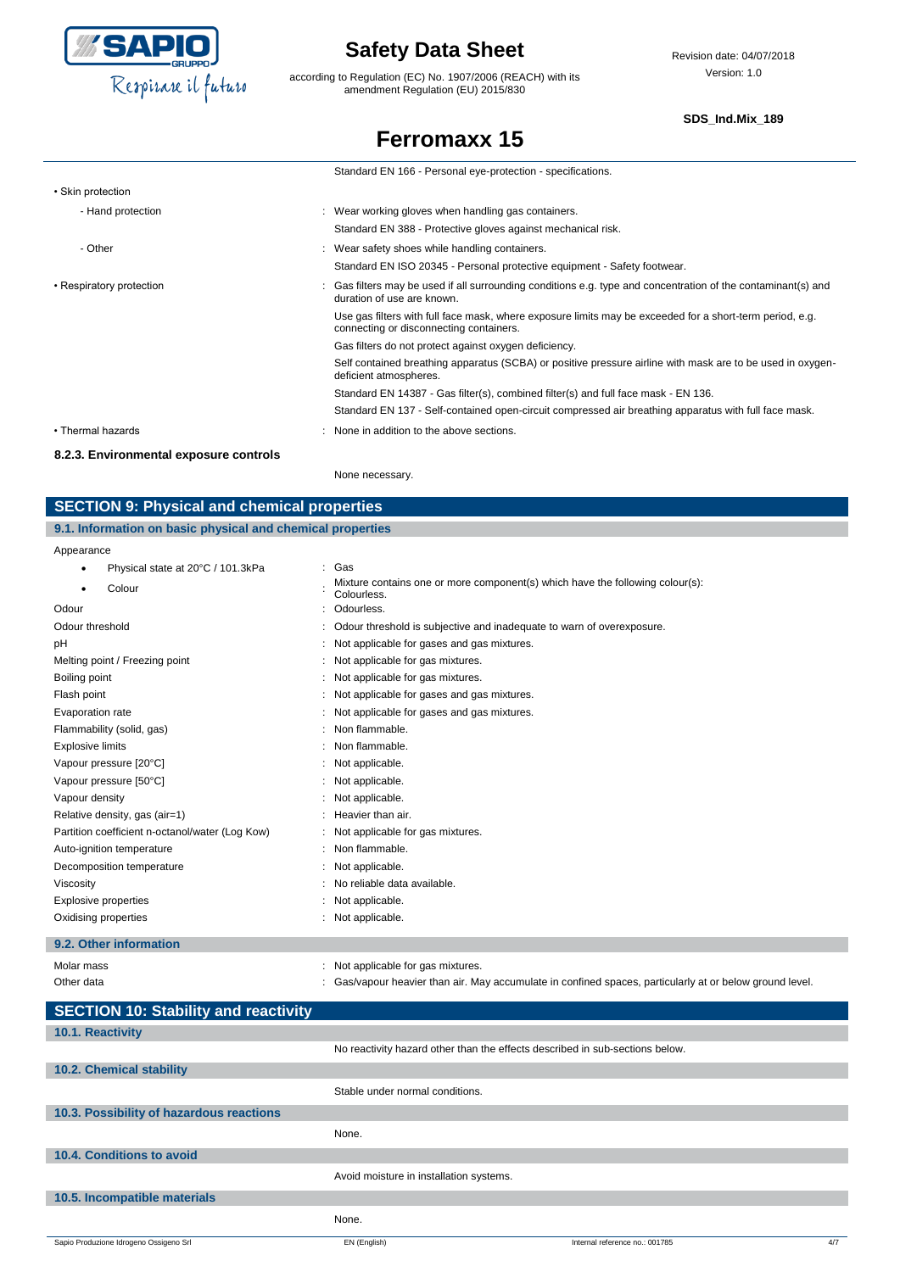

according to Regulation (EC) No. 1907/2006 (REACH) with its amendment Regulation (EU) 2015/830

#### **SDS\_Ind.Mix\_189**

### **Ferromaxx 15**

|                          | Standard EN 166 - Personal eye-protection - specifications.                                                                                         |
|--------------------------|-----------------------------------------------------------------------------------------------------------------------------------------------------|
| • Skin protection        |                                                                                                                                                     |
| - Hand protection        | : Wear working gloves when handling gas containers.                                                                                                 |
|                          | Standard EN 388 - Protective gloves against mechanical risk.                                                                                        |
| - Other                  | : Wear safety shoes while handling containers.                                                                                                      |
|                          | Standard EN ISO 20345 - Personal protective equipment - Safety footwear.                                                                            |
| • Respiratory protection | : Gas filters may be used if all surrounding conditions e.g. type and concentration of the contaminant(s) and<br>duration of use are known.         |
|                          | Use gas filters with full face mask, where exposure limits may be exceeded for a short-term period, e.g.<br>connecting or disconnecting containers. |
|                          | Gas filters do not protect against oxygen deficiency.                                                                                               |
|                          | Self contained breathing apparatus (SCBA) or positive pressure airline with mask are to be used in oxygen-<br>deficient atmospheres.                |
|                          | Standard EN 14387 - Gas filter(s), combined filter(s) and full face mask - EN 136.                                                                  |
|                          | Standard EN 137 - Self-contained open-circuit compressed air breathing apparatus with full face mask.                                               |
| • Thermal hazards        | : None in addition to the above sections.                                                                                                           |

#### **8.2.3. Environmental exposure controls**

None necessary.

### **SECTION 9: Physical and chemical properties**

#### **9.1. Information on basic physical and chemical properties**

Appearance

| , ippodranioc                                   |                                                                                              |
|-------------------------------------------------|----------------------------------------------------------------------------------------------|
| Physical state at 20°C / 101.3kPa<br>٠          | : Gas                                                                                        |
| Colour<br>٠                                     | Mixture contains one or more component(s) which have the following colour(s):<br>Colourless. |
| Odour                                           | Odourless.                                                                                   |
| Odour threshold                                 | Odour threshold is subjective and inadequate to warn of overexposure.                        |
| рH                                              | Not applicable for gases and gas mixtures.                                                   |
| Melting point / Freezing point                  | Not applicable for gas mixtures.                                                             |
| Boiling point                                   | Not applicable for gas mixtures.                                                             |
| Flash point                                     | Not applicable for gases and gas mixtures.                                                   |
| Evaporation rate                                | Not applicable for gases and gas mixtures.                                                   |
| Flammability (solid, gas)                       | Non flammable.                                                                               |
| <b>Explosive limits</b>                         | Non flammable.                                                                               |
| Vapour pressure [20°C]                          | Not applicable.                                                                              |
| Vapour pressure [50°C]                          | Not applicable.                                                                              |
| Vapour density                                  | Not applicable.                                                                              |
| Relative density, gas (air=1)                   | Heavier than air.                                                                            |
| Partition coefficient n-octanol/water (Log Kow) | Not applicable for gas mixtures.                                                             |
| Auto-ignition temperature                       | Non flammable.                                                                               |
| Decomposition temperature                       | Not applicable.                                                                              |
| Viscosity                                       | No reliable data available.                                                                  |
| <b>Explosive properties</b>                     | Not applicable.                                                                              |
| Oxidising properties                            | Not applicable.                                                                              |
|                                                 |                                                                                              |

#### **9.2. Other information**

| Molar mass | Not applicable for gas mixtures.                                                                       |
|------------|--------------------------------------------------------------------------------------------------------|
| Other data | Gas/vapour heavier than air. May accumulate in confined spaces, particularly at or below ground level. |

| Stable under normal conditions.         |                                |                                                                              |
|-----------------------------------------|--------------------------------|------------------------------------------------------------------------------|
|                                         |                                |                                                                              |
| None.                                   |                                |                                                                              |
|                                         |                                |                                                                              |
| Avoid moisture in installation systems. |                                |                                                                              |
|                                         |                                |                                                                              |
| None.                                   |                                |                                                                              |
| EN (English)                            | Internal reference no.: 001785 | 4/7                                                                          |
|                                         |                                | No reactivity hazard other than the effects described in sub-sections below. |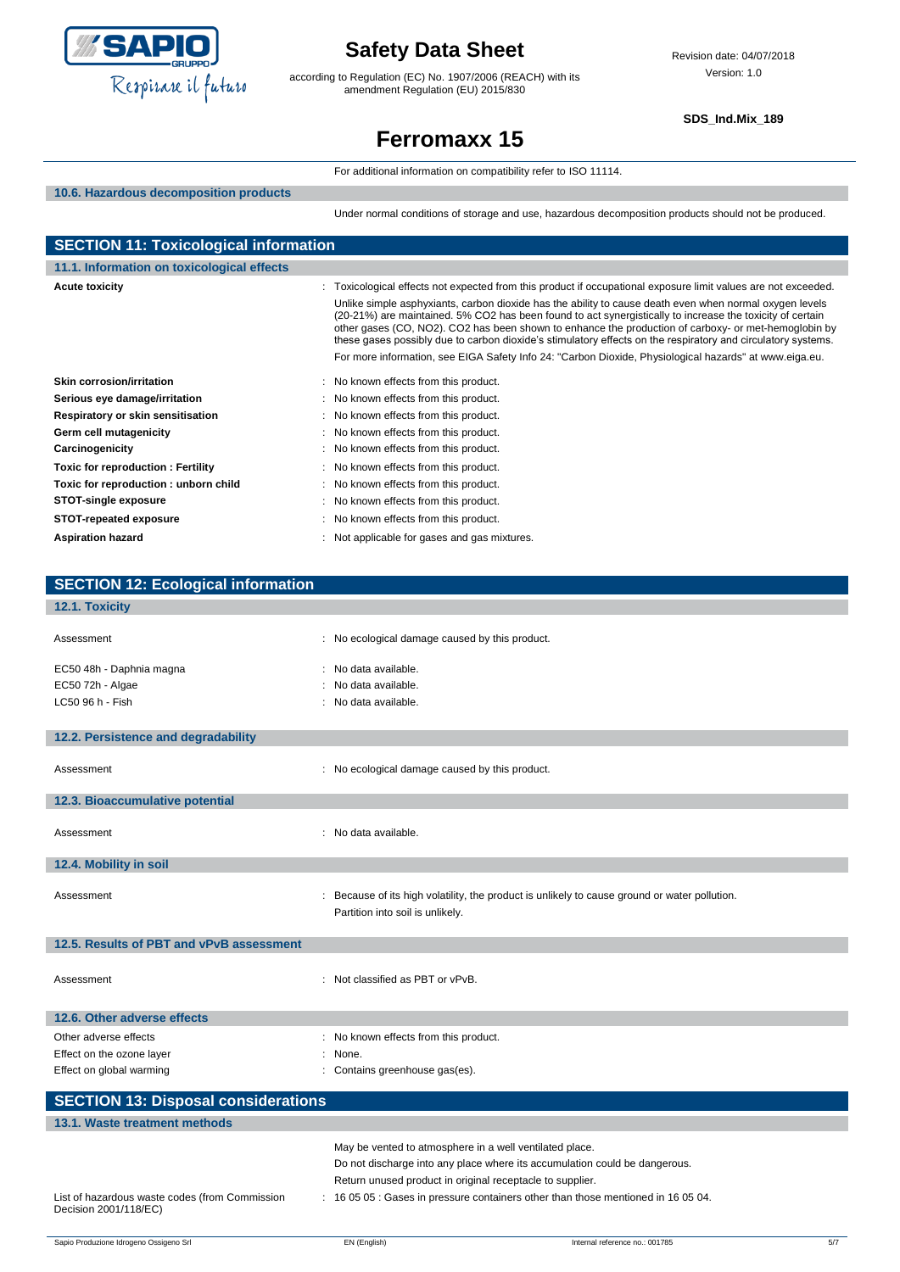

according to Regulation (EC) No. 1907/2006 (REACH) with its amendment Regulation (EU) 2015/830

**SDS\_Ind.Mix\_189**

# **Ferromaxx 15**

|                                              | For additional information on compatibility refer to ISO 11114.                                                                                                                                                                                                                                                                                                                                                                                                                                                                                                                                                                                                          |
|----------------------------------------------|--------------------------------------------------------------------------------------------------------------------------------------------------------------------------------------------------------------------------------------------------------------------------------------------------------------------------------------------------------------------------------------------------------------------------------------------------------------------------------------------------------------------------------------------------------------------------------------------------------------------------------------------------------------------------|
| 10.6. Hazardous decomposition products       |                                                                                                                                                                                                                                                                                                                                                                                                                                                                                                                                                                                                                                                                          |
|                                              | Under normal conditions of storage and use, hazardous decomposition products should not be produced.                                                                                                                                                                                                                                                                                                                                                                                                                                                                                                                                                                     |
| <b>SECTION 11: Toxicological information</b> |                                                                                                                                                                                                                                                                                                                                                                                                                                                                                                                                                                                                                                                                          |
| 11.1. Information on toxicological effects   |                                                                                                                                                                                                                                                                                                                                                                                                                                                                                                                                                                                                                                                                          |
| <b>Acute toxicity</b>                        | : Toxicological effects not expected from this product if occupational exposure limit values are not exceeded.<br>Unlike simple asphyxiants, carbon dioxide has the ability to cause death even when normal oxygen levels<br>(20-21%) are maintained. 5% CO2 has been found to act synergistically to increase the toxicity of certain<br>other gases (CO, NO2). CO2 has been shown to enhance the production of carboxy- or met-hemoglobin by<br>these gases possibly due to carbon dioxide's stimulatory effects on the respiratory and circulatory systems.<br>For more information, see EIGA Safety Info 24: "Carbon Dioxide, Physiological hazards" at www.eiga.eu. |
| <b>Skin corrosion/irritation</b>             | No known effects from this product.                                                                                                                                                                                                                                                                                                                                                                                                                                                                                                                                                                                                                                      |
| Serious eye damage/irritation                | No known effects from this product.                                                                                                                                                                                                                                                                                                                                                                                                                                                                                                                                                                                                                                      |
| Respiratory or skin sensitisation            | No known effects from this product.                                                                                                                                                                                                                                                                                                                                                                                                                                                                                                                                                                                                                                      |
| Germ cell mutagenicity                       | No known effects from this product.<br>÷                                                                                                                                                                                                                                                                                                                                                                                                                                                                                                                                                                                                                                 |
| Carcinogenicity                              | No known effects from this product.                                                                                                                                                                                                                                                                                                                                                                                                                                                                                                                                                                                                                                      |
| Toxic for reproduction: Fertility            | No known effects from this product.<br>÷                                                                                                                                                                                                                                                                                                                                                                                                                                                                                                                                                                                                                                 |
| Toxic for reproduction: unborn child         | No known effects from this product.                                                                                                                                                                                                                                                                                                                                                                                                                                                                                                                                                                                                                                      |
| <b>STOT-single exposure</b>                  | No known effects from this product.                                                                                                                                                                                                                                                                                                                                                                                                                                                                                                                                                                                                                                      |
|                                              |                                                                                                                                                                                                                                                                                                                                                                                                                                                                                                                                                                                                                                                                          |
| <b>STOT-repeated exposure</b>                | No known effects from this product.                                                                                                                                                                                                                                                                                                                                                                                                                                                                                                                                                                                                                                      |
| <b>Aspiration hazard</b>                     | Not applicable for gases and gas mixtures.                                                                                                                                                                                                                                                                                                                                                                                                                                                                                                                                                                                                                               |
| <b>SECTION 12: Ecological information</b>    |                                                                                                                                                                                                                                                                                                                                                                                                                                                                                                                                                                                                                                                                          |
| 12.1. Toxicity                               |                                                                                                                                                                                                                                                                                                                                                                                                                                                                                                                                                                                                                                                                          |
| Assessment                                   | No ecological damage caused by this product.                                                                                                                                                                                                                                                                                                                                                                                                                                                                                                                                                                                                                             |
| EC50 48h - Daphnia magna                     | No data available.                                                                                                                                                                                                                                                                                                                                                                                                                                                                                                                                                                                                                                                       |
| EC50 72h - Algae                             | No data available.                                                                                                                                                                                                                                                                                                                                                                                                                                                                                                                                                                                                                                                       |
| LC50 96 h - Fish                             | No data available.                                                                                                                                                                                                                                                                                                                                                                                                                                                                                                                                                                                                                                                       |
|                                              |                                                                                                                                                                                                                                                                                                                                                                                                                                                                                                                                                                                                                                                                          |
| 12.2. Persistence and degradability          |                                                                                                                                                                                                                                                                                                                                                                                                                                                                                                                                                                                                                                                                          |
| Assessment                                   | : No ecological damage caused by this product.                                                                                                                                                                                                                                                                                                                                                                                                                                                                                                                                                                                                                           |
| 12.3. Bioaccumulative potential              |                                                                                                                                                                                                                                                                                                                                                                                                                                                                                                                                                                                                                                                                          |
| Assessment                                   | : No data available.                                                                                                                                                                                                                                                                                                                                                                                                                                                                                                                                                                                                                                                     |
| 12.4. Mobility in soil                       |                                                                                                                                                                                                                                                                                                                                                                                                                                                                                                                                                                                                                                                                          |
| Assessment                                   | Because of its high volatility, the product is unlikely to cause ground or water pollution.<br>Partition into soil is unlikely.                                                                                                                                                                                                                                                                                                                                                                                                                                                                                                                                          |
| 12.5. Results of PBT and vPvB assessment     |                                                                                                                                                                                                                                                                                                                                                                                                                                                                                                                                                                                                                                                                          |
| Assessment                                   | : Not classified as PBT or vPvB.                                                                                                                                                                                                                                                                                                                                                                                                                                                                                                                                                                                                                                         |
| 12.6. Other adverse effects                  |                                                                                                                                                                                                                                                                                                                                                                                                                                                                                                                                                                                                                                                                          |
| Other adverse effects                        | No known effects from this product.                                                                                                                                                                                                                                                                                                                                                                                                                                                                                                                                                                                                                                      |
| Effect on the ozone layer                    | None.                                                                                                                                                                                                                                                                                                                                                                                                                                                                                                                                                                                                                                                                    |
| Effect on global warming                     | Contains greenhouse gas(es).                                                                                                                                                                                                                                                                                                                                                                                                                                                                                                                                                                                                                                             |
| <b>SECTION 13: Disposal considerations</b>   |                                                                                                                                                                                                                                                                                                                                                                                                                                                                                                                                                                                                                                                                          |

I

J

I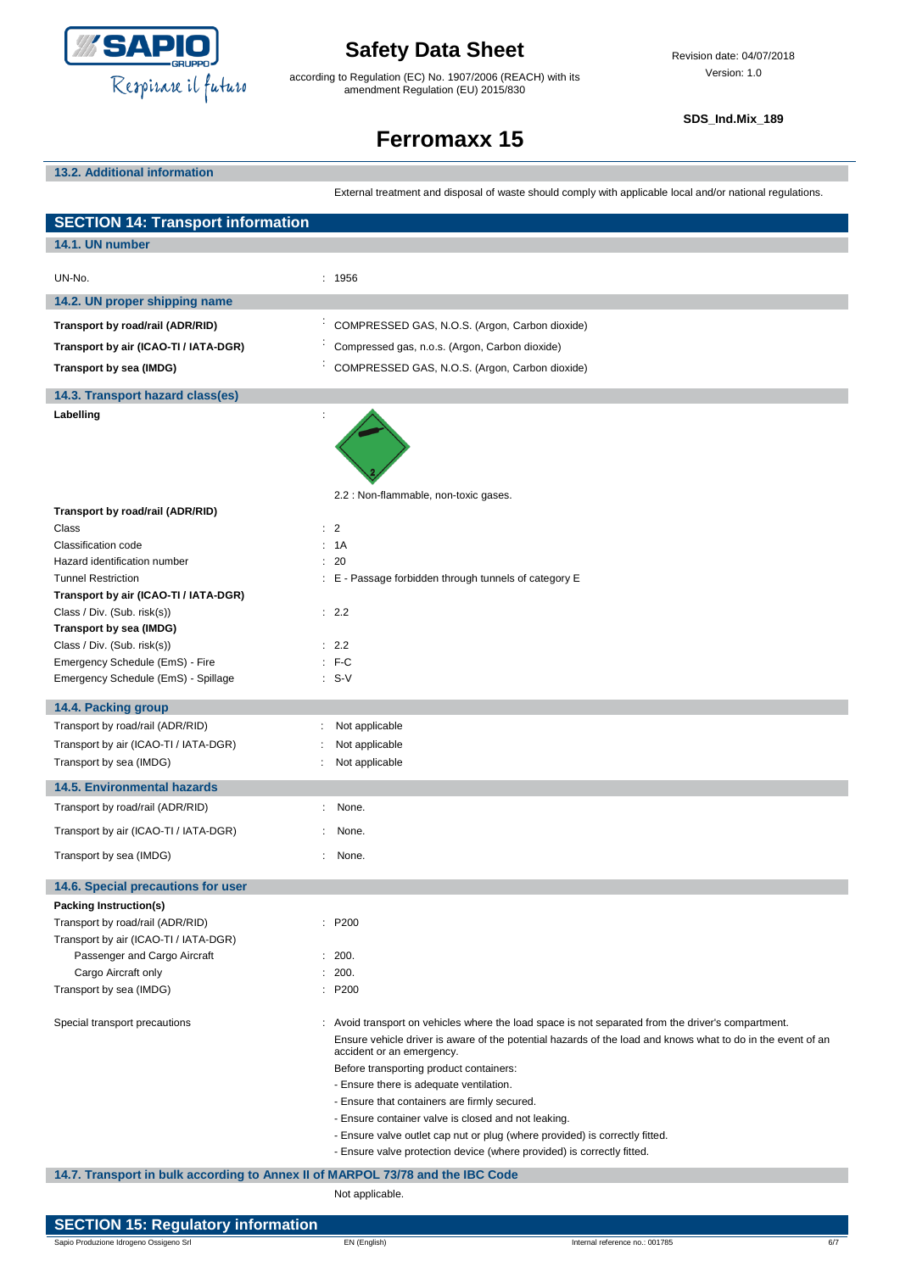

according to Regulation (EC) No. 1907/2006 (REACH) with its amendment Regulation (EU) 2015/830

**SDS\_Ind.Mix\_189**

# **Ferromaxx 15**

**13.2. Additional information**

External treatment and disposal of waste should comply with applicable local and/or national regulations.

| <b>SECTION 14: Transport information</b>                                       |                                                                                                                                                                                                                                                                                                                                                                                                                                                                                                                                                                                                      |
|--------------------------------------------------------------------------------|------------------------------------------------------------------------------------------------------------------------------------------------------------------------------------------------------------------------------------------------------------------------------------------------------------------------------------------------------------------------------------------------------------------------------------------------------------------------------------------------------------------------------------------------------------------------------------------------------|
| 14.1. UN number                                                                |                                                                                                                                                                                                                                                                                                                                                                                                                                                                                                                                                                                                      |
| UN-No.                                                                         | : 1956                                                                                                                                                                                                                                                                                                                                                                                                                                                                                                                                                                                               |
| 14.2. UN proper shipping name                                                  |                                                                                                                                                                                                                                                                                                                                                                                                                                                                                                                                                                                                      |
| Transport by road/rail (ADR/RID)                                               | COMPRESSED GAS, N.O.S. (Argon, Carbon dioxide)                                                                                                                                                                                                                                                                                                                                                                                                                                                                                                                                                       |
| Transport by air (ICAO-TI / IATA-DGR)                                          | Compressed gas, n.o.s. (Argon, Carbon dioxide)                                                                                                                                                                                                                                                                                                                                                                                                                                                                                                                                                       |
| Transport by sea (IMDG)                                                        | COMPRESSED GAS, N.O.S. (Argon, Carbon dioxide)                                                                                                                                                                                                                                                                                                                                                                                                                                                                                                                                                       |
| 14.3. Transport hazard class(es)                                               |                                                                                                                                                                                                                                                                                                                                                                                                                                                                                                                                                                                                      |
| Labelling                                                                      |                                                                                                                                                                                                                                                                                                                                                                                                                                                                                                                                                                                                      |
| Transport by road/rail (ADR/RID)                                               | 2.2 : Non-flammable, non-toxic gases.                                                                                                                                                                                                                                                                                                                                                                                                                                                                                                                                                                |
| Class                                                                          | $\therefore$ 2                                                                                                                                                                                                                                                                                                                                                                                                                                                                                                                                                                                       |
| Classification code                                                            | : 1A                                                                                                                                                                                                                                                                                                                                                                                                                                                                                                                                                                                                 |
| Hazard identification number                                                   | : 20                                                                                                                                                                                                                                                                                                                                                                                                                                                                                                                                                                                                 |
| <b>Tunnel Restriction</b><br>Transport by air (ICAO-TI / IATA-DGR)             | : E - Passage forbidden through tunnels of category E                                                                                                                                                                                                                                                                                                                                                                                                                                                                                                                                                |
| Class / Div. (Sub. risk(s))                                                    | : 2.2                                                                                                                                                                                                                                                                                                                                                                                                                                                                                                                                                                                                |
| Transport by sea (IMDG)                                                        |                                                                                                                                                                                                                                                                                                                                                                                                                                                                                                                                                                                                      |
| Class / Div. (Sub. risk(s))                                                    | : 2.2                                                                                                                                                                                                                                                                                                                                                                                                                                                                                                                                                                                                |
| Emergency Schedule (EmS) - Fire                                                | $:$ F-C                                                                                                                                                                                                                                                                                                                                                                                                                                                                                                                                                                                              |
| Emergency Schedule (EmS) - Spillage                                            | $\therefore$ S-V                                                                                                                                                                                                                                                                                                                                                                                                                                                                                                                                                                                     |
| 14.4. Packing group                                                            |                                                                                                                                                                                                                                                                                                                                                                                                                                                                                                                                                                                                      |
| Transport by road/rail (ADR/RID)                                               | Not applicable                                                                                                                                                                                                                                                                                                                                                                                                                                                                                                                                                                                       |
| Transport by air (ICAO-TI / IATA-DGR)                                          | Not applicable                                                                                                                                                                                                                                                                                                                                                                                                                                                                                                                                                                                       |
| Transport by sea (IMDG)                                                        | Not applicable                                                                                                                                                                                                                                                                                                                                                                                                                                                                                                                                                                                       |
| <b>14.5. Environmental hazards</b>                                             |                                                                                                                                                                                                                                                                                                                                                                                                                                                                                                                                                                                                      |
| Transport by road/rail (ADR/RID)                                               | : None.                                                                                                                                                                                                                                                                                                                                                                                                                                                                                                                                                                                              |
| Transport by air (ICAO-TI / IATA-DGR)                                          | None.                                                                                                                                                                                                                                                                                                                                                                                                                                                                                                                                                                                                |
| Transport by sea (IMDG)                                                        | $\ddot{\phantom{a}}$<br>None.                                                                                                                                                                                                                                                                                                                                                                                                                                                                                                                                                                        |
| 14.6. Special precautions for user                                             |                                                                                                                                                                                                                                                                                                                                                                                                                                                                                                                                                                                                      |
| Packing Instruction(s)                                                         |                                                                                                                                                                                                                                                                                                                                                                                                                                                                                                                                                                                                      |
| Transport by road/rail (ADR/RID)                                               | : P200                                                                                                                                                                                                                                                                                                                                                                                                                                                                                                                                                                                               |
| Transport by air (ICAO-TI / IATA-DGR)                                          |                                                                                                                                                                                                                                                                                                                                                                                                                                                                                                                                                                                                      |
| Passenger and Cargo Aircraft<br>Cargo Aircraft only                            | : 200.<br>200.                                                                                                                                                                                                                                                                                                                                                                                                                                                                                                                                                                                       |
| Transport by sea (IMDG)                                                        | : P200                                                                                                                                                                                                                                                                                                                                                                                                                                                                                                                                                                                               |
| Special transport precautions                                                  | : Avoid transport on vehicles where the load space is not separated from the driver's compartment.<br>Ensure vehicle driver is aware of the potential hazards of the load and knows what to do in the event of an<br>accident or an emergency.<br>Before transporting product containers:<br>- Ensure there is adequate ventilation.<br>- Ensure that containers are firmly secured.<br>- Ensure container valve is closed and not leaking.<br>- Ensure valve outlet cap nut or plug (where provided) is correctly fitted.<br>- Ensure valve protection device (where provided) is correctly fitted. |
| 14.7. Transport in bulk according to Annex II of MARPOL 73/78 and the IBC Code | Not applicable.                                                                                                                                                                                                                                                                                                                                                                                                                                                                                                                                                                                      |